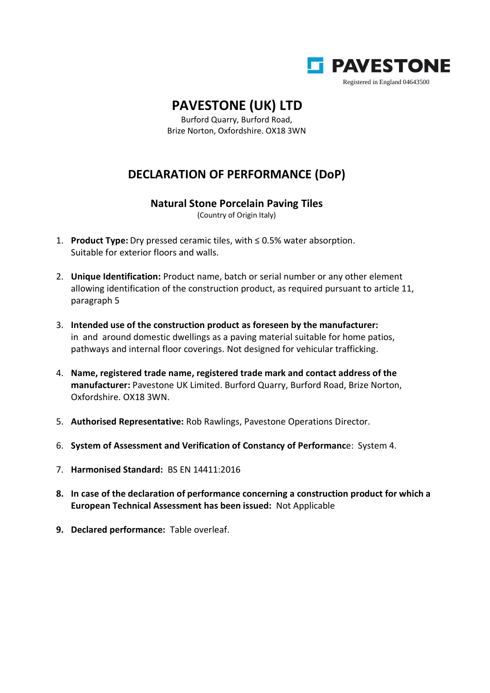

## **PAVESTONE (UK) LTD**

Burford Quarry, Burford Road, Brize Norton, Oxfordshire. OX18 3WN

## **DECLARATION OF PERFORMANCE (DoP)**

## **Natural Stone Porcelain Paving Tiles**

(Country of Origin Italy)

- 1. **Product Type:** Dry pressed ceramic tiles, with ≤ 0.5% water absorption. Suitable for exterior floors and walls.
- 2. **Unique Identification:** Product name, batch or serial number or any other element allowing identification of the construction product, as required pursuant to article 11, paragraph 5
- 3. **Intended use of the construction product as foreseen by the manufacturer:** in and around domestic dwellings as a paving material suitable for home patios, pathways and internal floor coverings. Not designed for vehicular trafficking.
- 4. **Name, registered trade name, registered trade mark and contact address of the manufacturer:** Pavestone UK Limited. Burford Quarry, Burford Road, Brize Norton, Oxfordshire. OX18 3WN.
- 5. **Authorised Representative:** Rob Rawlings, Pavestone Operations Director.
- 6. **System of Assessment and Verification of Constancy of Performanc**e: System 4.
- 7. **Harmonised Standard:** BS EN 14411:2016
- **8. In case of the declaration of performance concerning a construction product for which a European Technical Assessment has been issued:** Not Applicable
- **9. Declared performance:** Table overleaf.